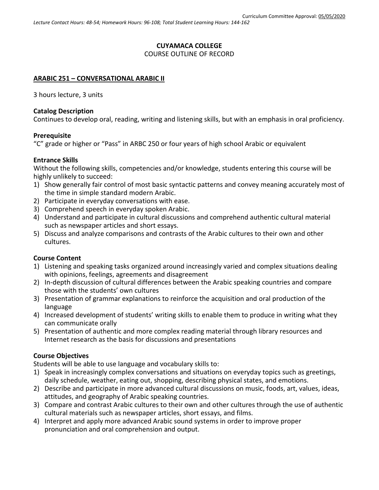# **CUYAMACA COLLEGE** COURSE OUTLINE OF RECORD

### **ARABIC 251 – CONVERSATIONAL ARABIC II**

3 hours lecture, 3 units

### **Catalog Description**

Continues to develop oral, reading, writing and listening skills, but with an emphasis in oral proficiency.

### **Prerequisite**

"C" grade or higher or "Pass" in ARBC 250 or four years of high school Arabic or equivalent

### **Entrance Skills**

Without the following skills, competencies and/or knowledge, students entering this course will be highly unlikely to succeed:

- 1) Show generally fair control of most basic syntactic patterns and convey meaning accurately most of the time in simple standard modern Arabic.
- 2) Participate in everyday conversations with ease.
- 3) Comprehend speech in everyday spoken Arabic.
- 4) Understand and participate in cultural discussions and comprehend authentic cultural material such as newspaper articles and short essays.
- 5) Discuss and analyze comparisons and contrasts of the Arabic cultures to their own and other cultures.

## **Course Content**

- 1) Listening and speaking tasks organized around increasingly varied and complex situations dealing with opinions, feelings, agreements and disagreement
- 2) In-depth discussion of cultural differences between the Arabic speaking countries and compare those with the students' own cultures
- 3) Presentation of grammar explanations to reinforce the acquisition and oral production of the language
- 4) Increased development of students' writing skills to enable them to produce in writing what they can communicate orally
- 5) Presentation of authentic and more complex reading material through library resources and Internet research as the basis for discussions and presentations

## **Course Objectives**

Students will be able to use language and vocabulary skills to:

- 1) Speak in increasingly complex conversations and situations on everyday topics such as greetings, daily schedule, weather, eating out, shopping, describing physical states, and emotions.
- 2) Describe and participate in more advanced cultural discussions on music, foods, art, values, ideas, attitudes, and geography of Arabic speaking countries.
- 3) Compare and contrast Arabic cultures to their own and other cultures through the use of authentic cultural materials such as newspaper articles, short essays, and films.
- 4) Interpret and apply more advanced Arabic sound systems in order to improve proper pronunciation and oral comprehension and output.